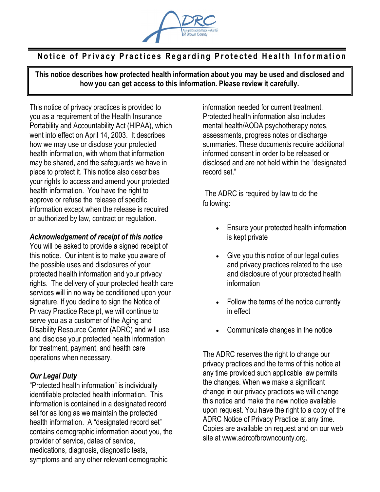

#### **Notice of Privacy Practices Regarding Protected Health Information**

**This notice describes how protected health information about you may be used and disclosed and how you can get access to this information. Please review it carefully.**

This notice of privacy practices is provided to you as a requirement of the Health Insurance Portability and Accountability Act (HIPAA), which went into effect on April 14, 2003. It describes how we may use or disclose your protected health information, with whom that information may be shared, and the safeguards we have in place to protect it. This notice also describes your rights to access and amend your protected health information. You have the right to approve or refuse the release of specific information except when the release is required or authorized by law, contract or regulation.

#### *Acknowledgement of receipt of this notice*

You will be asked to provide a signed receipt of this notice. Our intent is to make you aware of the possible uses and disclosures of your protected health information and your privacy rights. The delivery of your protected health care services will in no way be conditioned upon your signature. If you decline to sign the Notice of Privacy Practice Receipt, we will continue to serve you as a customer of the Aging and Disability Resource Center (ADRC) and will use and disclose your protected health information for treatment, payment, and health care operations when necessary.

#### *Our Legal Duty*

"Protected health information" is individually identifiable protected health information. This information is contained in a designated record set for as long as we maintain the protected health information. A "designated record set" contains demographic information about you, the provider of service, dates of service, medications, diagnosis, diagnostic tests, symptoms and any other relevant demographic

information needed for current treatment. Protected health information also includes mental health/AODA psychotherapy notes, assessments, progress notes or discharge summaries. These documents require additional informed consent in order to be released or disclosed and are not held within the "designated record set."

The ADRC is required by law to do the following:

- Ensure your protected health information is kept private
- Give you this notice of our legal duties and privacy practices related to the use and disclosure of your protected health information
- Follow the terms of the notice currently in effect
- Communicate changes in the notice

The ADRC reserves the right to change our privacy practices and the terms of this notice at any time provided such applicable law permits the changes. When we make a significant change in our privacy practices we will change this notice and make the new notice available upon request. You have the right to a copy of the ADRC Notice of Privacy Practice at any time. Copies are available on request and on our web site at www.adrcofbrowncounty.org.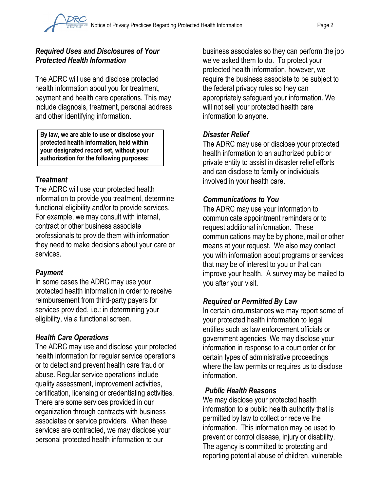#### *Required Uses and Disclosures of Your Protected Health Information*

The ADRC will use and disclose protected health information about you for treatment, payment and health care operations. This may include diagnosis, treatment, personal address and other identifying information.

**By law, we are able to use or disclose your protected health information, held within your designated record set, without your authorization for the following purposes:**

#### *Treatment*

The ADRC will use your protected health information to provide you treatment, determine functional eligibility and/or to provide services. For example, we may consult with internal, contract or other business associate professionals to provide them with information they need to make decisions about your care or services.

#### *Payment*

In some cases the ADRC may use your protected health information in order to receive reimbursement from third-party payers for services provided, i.e.: in determining your eligibility, via a functional screen.

#### *Health Care Operations*

The ADRC may use and disclose your protected health information for regular service operations or to detect and prevent health care fraud or abuse. Regular service operations include quality assessment, improvement activities, certification, licensing or credentialing activities. There are some services provided in our organization through contracts with business associates or service providers. When these services are contracted, we may disclose your personal protected health information to our

business associates so they can perform the job we've asked them to do. To protect your protected health information, however, we require the business associate to be subject to the federal privacy rules so they can appropriately safeguard your information. We will not sell your protected health care information to anyone.

#### *Disaster Relief*

The ADRC may use or disclose your protected health information to an authorized public or private entity to assist in disaster relief efforts and can disclose to family or individuals involved in your health care.

#### *Communications to You*

The ADRC may use your information to communicate appointment reminders or to request additional information. These communications may be by phone, mail or other means at your request. We also may contact you with information about programs or services that may be of interest to you or that can improve your health. A survey may be mailed to you after your visit.

## *Required or Permitted By Law*

In certain circumstances we may report some of your protected health information to legal entities such as law enforcement officials or government agencies. We may disclose your information in response to a court order or for certain types of administrative proceedings where the law permits or requires us to disclose information.

#### *Public Health Reasons*

We may disclose your protected health information to a public health authority that is permitted by law to collect or receive the information. This information may be used to prevent or control disease, injury or disability. The agency is committed to protecting and reporting potential abuse of children, vulnerable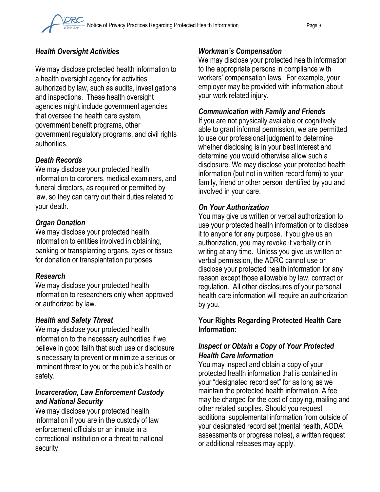# *Health Oversight Activities*

We may disclose protected health information to a health oversight agency for activities authorized by law, such as audits, investigations and inspections. These health oversight agencies might include government agencies that oversee the health care system, government benefit programs, other government regulatory programs, and civil rights authorities.

## *Death Records*

We may disclose your protected health information to coroners, medical examiners, and funeral directors, as required or permitted by law, so they can carry out their duties related to your death.

# *Organ Donation*

We may disclose your protected health information to entities involved in obtaining, banking or transplanting organs, eyes or tissue for donation or transplantation purposes.

## *Research*

We may disclose your protected health information to researchers only when approved or authorized by law.

# *Health and Safety Threat*

We may disclose your protected health information to the necessary authorities if we believe in good faith that such use or disclosure is necessary to prevent or minimize a serious or imminent threat to you or the public's health or safety.

#### *Incarceration, Law Enforcement Custody and National Security*

We may disclose your protected health information if you are in the custody of law enforcement officials or an inmate in a correctional institution or a threat to national security.

## *Workman's Compensation*

We may disclose your protected health information to the appropriate persons in compliance with workers' compensation laws. For example, your employer may be provided with information about your work related injury.

# *Communication with Family and Friends*

If you are not physically available or cognitively able to grant informal permission, we are permitted to use our professional judgment to determine whether disclosing is in your best interest and determine you would otherwise allow such a disclosure. We may disclose your protected health information (but not in written record form) to your family, friend or other person identified by you and involved in your care.

# *On Your Authorization*

You may give us written or verbal authorization to use your protected health information or to disclose it to anyone for any purpose. If you give us an authorization, you may revoke it verbally or in writing at any time. Unless you give us written or verbal permission, the ADRC cannot use or disclose your protected health information for any reason except those allowable by law, contract or regulation. All other disclosures of your personal health care information will require an authorization by you.

#### **Your Rights Regarding Protected Health Care Information:**

#### *Inspect or Obtain a Copy of Your Protected Health Care Information*

You may inspect and obtain a copy of your protected health information that is contained in your "designated record set" for as long as we maintain the protected health information. A fee may be charged for the cost of copying, mailing and other related supplies. Should you request additional supplemental information from outside of your designated record set (mental health, AODA assessments or progress notes), a written request or additional releases may apply.